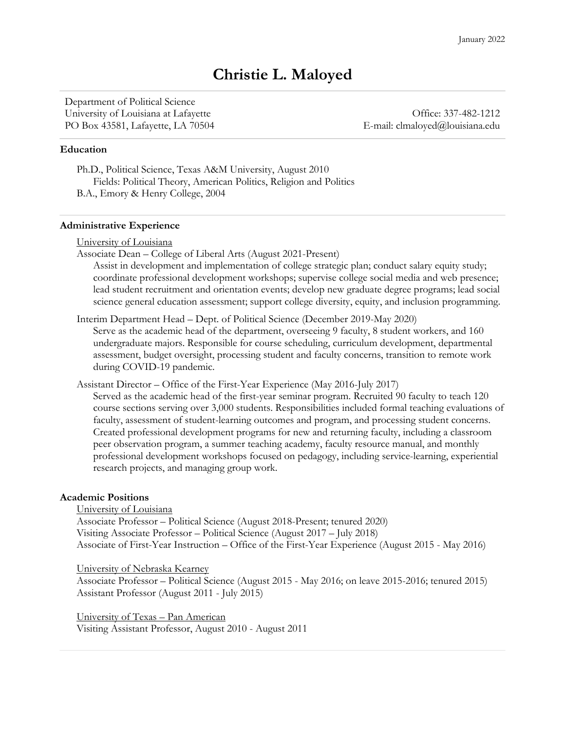# **Christie L. Maloyed**

Department of Political Science University of Louisiana at Lafayette **Office**: 337-482-1212 PO Box 43581, Lafayette, LA 70504 E-mail: clmaloyed@louisiana.edu

#### **Education**

Ph.D., Political Science, Texas A&M University, August 2010 Fields: Political Theory, American Politics, Religion and Politics B.A., Emory & Henry College, 2004

#### **Administrative Experience**

|  | University of Louisiana |  |  |
|--|-------------------------|--|--|
|  |                         |  |  |

Associate Dean – College of Liberal Arts (August 2021-Present)

Assist in development and implementation of college strategic plan; conduct salary equity study; coordinate professional development workshops; supervise college social media and web presence; lead student recruitment and orientation events; develop new graduate degree programs; lead social science general education assessment; support college diversity, equity, and inclusion programming.

Interim Department Head – Dept. of Political Science (December 2019-May 2020)

Serve as the academic head of the department, overseeing 9 faculty, 8 student workers, and 160 undergraduate majors. Responsible for course scheduling, curriculum development, departmental assessment, budget oversight, processing student and faculty concerns, transition to remote work during COVID-19 pandemic.

Assistant Director – Office of the First-Year Experience (May 2016-July 2017)

Served as the academic head of the first-year seminar program. Recruited 90 faculty to teach 120 course sections serving over 3,000 students. Responsibilities included formal teaching evaluations of faculty, assessment of student-learning outcomes and program, and processing student concerns. Created professional development programs for new and returning faculty, including a classroom peer observation program, a summer teaching academy, faculty resource manual, and monthly professional development workshops focused on pedagogy, including service-learning, experiential research projects, and managing group work.

# **Academic Positions**

University of Louisiana

Associate Professor – Political Science (August 2018-Present; tenured 2020) Visiting Associate Professor – Political Science (August 2017 – July 2018) Associate of First-Year Instruction – Office of the First-Year Experience (August 2015 - May 2016)

University of Nebraska Kearney

Associate Professor – Political Science (August 2015 - May 2016; on leave 2015-2016; tenured 2015) Assistant Professor (August 2011 - July 2015)

University of Texas – Pan American Visiting Assistant Professor, August 2010 - August 2011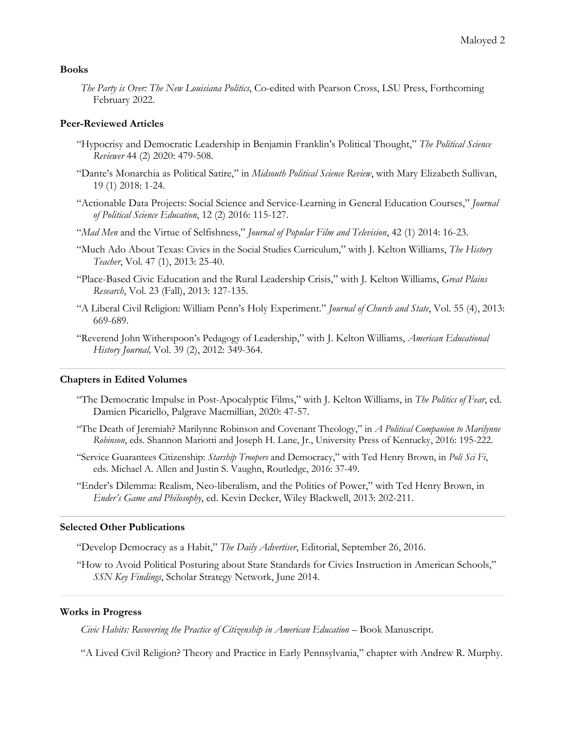# **Books**

*The Party is Over: The New Louisiana Politics*, Co-edited with Pearson Cross, LSU Press, Forthcoming February 2022.

# **Peer-Reviewed Articles**

- "Hypocrisy and Democratic Leadership in Benjamin Franklin's Political Thought," *The Political Science Reviewer* 44 (2) 2020: 479-508*.*
- "Dante's Monarchia as Political Satire," in *Midsouth Political Science Review*, with Mary Elizabeth Sullivan, 19 (1) 2018: 1-24.
- "Actionable Data Projects: Social Science and Service-Learning in General Education Courses," *Journal of Political Science Education*, 12 (2) 2016: 115-127.
- "*Mad Men* and the Virtue of Selfishness," *Journal of Popular Film and Television*, 42 (1) 2014: 16-23.
- "Much Ado About Texas: Civics in the Social Studies Curriculum," with J. Kelton Williams, *The History Teacher*, Vol. 47 (1), 2013: 25-40.
- "Place-Based Civic Education and the Rural Leadership Crisis," with J. Kelton Williams, *Great Plains Research*, Vol. 23 (Fall), 2013: 127-135.
- "A Liberal Civil Religion: William Penn's Holy Experiment." *Journal of Church and State*, Vol. 55 (4), 2013: 669-689.
- "Reverend John Witherspoon's Pedagogy of Leadership," with J. Kelton Williams, *American Educational History Journal,* Vol. 39 (2), 2012: 349-364.

#### **Chapters in Edited Volumes**

- "The Democratic Impulse in Post-Apocalyptic Films," with J. Kelton Williams, in *The Politics of Fear*, ed. Damien Picariello, Palgrave Macmillian, 2020: 47-57.
- "The Death of Jeremiah? Marilynne Robinson and Covenant Theology," in *A Political Companion to Marilynne Robinson*, eds. Shannon Mariotti and Joseph H. Lane, Jr., University Press of Kentucky, 2016: 195-222.
- "Service Guarantees Citizenship: *Starship Troopers* and Democracy," with Ted Henry Brown, in *Poli Sci Fi*, eds. Michael A. Allen and Justin S. Vaughn, Routledge, 2016: 37-49.
- "Ender's Dilemma: Realism, Neo-liberalism, and the Politics of Power," with Ted Henry Brown, in *Ender's Game and Philosophy*, ed. Kevin Decker, Wiley Blackwell, 2013: 202-211.

## **Selected Other Publications**

"Develop Democracy as a Habit," *The Daily Advertiser*, Editorial, September 26, 2016.

"How to Avoid Political Posturing about State Standards for Civics Instruction in American Schools," *SSN Key Findings*, Scholar Strategy Network, June 2014.

# **Works in Progress**

*Civic Habits: Recovering the Practice of Citizenship in American Education* – Book Manuscript.

"A Lived Civil Religion? Theory and Practice in Early Pennsylvania," chapter with Andrew R. Murphy.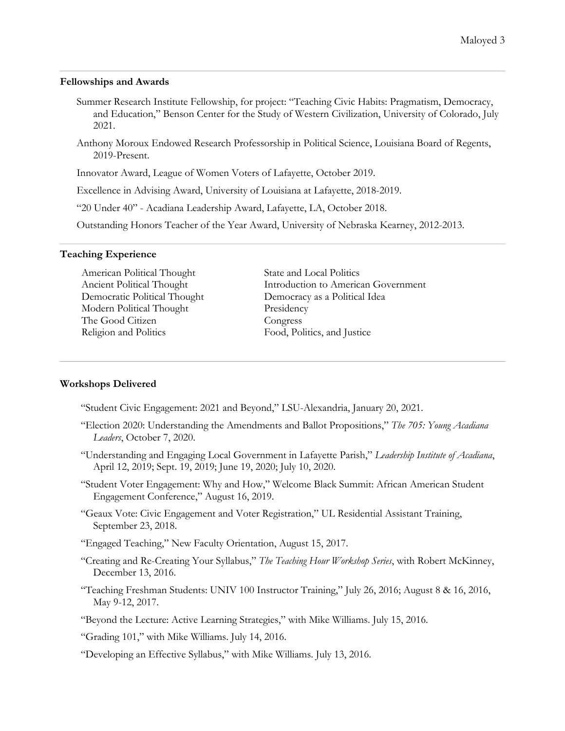### **Fellowships and Awards**

- Summer Research Institute Fellowship, for project: "Teaching Civic Habits: Pragmatism, Democracy, and Education," Benson Center for the Study of Western Civilization, University of Colorado, July 2021.
- Anthony Moroux Endowed Research Professorship in Political Science, Louisiana Board of Regents, 2019-Present.

Innovator Award, League of Women Voters of Lafayette, October 2019.

Excellence in Advising Award, University of Louisiana at Lafayette, 2018-2019.

"20 Under 40" - Acadiana Leadership Award, Lafayette, LA, October 2018.

Outstanding Honors Teacher of the Year Award, University of Nebraska Kearney, 2012-2013.

## **Teaching Experience**

American Political Thought Ancient Political Thought Democratic Political Thought Modern Political Thought The Good Citizen Religion and Politics

State and Local Politics Introduction to American Government Democracy as a Political Idea Presidency Congress Food, Politics, and Justice

# **Workshops Delivered**

"Student Civic Engagement: 2021 and Beyond," LSU-Alexandria, January 20, 2021.

- "Election 2020: Understanding the Amendments and Ballot Propositions," *The 705: Young Acadiana Leaders*, October 7, 2020.
- "Understanding and Engaging Local Government in Lafayette Parish," *Leadership Institute of Acadiana*, April 12, 2019; Sept. 19, 2019; June 19, 2020; July 10, 2020.
- "Student Voter Engagement: Why and How," Welcome Black Summit: African American Student Engagement Conference," August 16, 2019.
- "Geaux Vote: Civic Engagement and Voter Registration," UL Residential Assistant Training, September 23, 2018.
- "Engaged Teaching," New Faculty Orientation, August 15, 2017.
- "Creating and Re-Creating Your Syllabus," *The Teaching Hour Workshop Series*, with Robert McKinney, December 13, 2016.
- "Teaching Freshman Students: UNIV 100 Instructor Training," July 26, 2016; August 8 & 16, 2016, May 9-12, 2017.

"Beyond the Lecture: Active Learning Strategies," with Mike Williams. July 15, 2016.

"Grading 101," with Mike Williams. July 14, 2016.

"Developing an Effective Syllabus," with Mike Williams. July 13, 2016.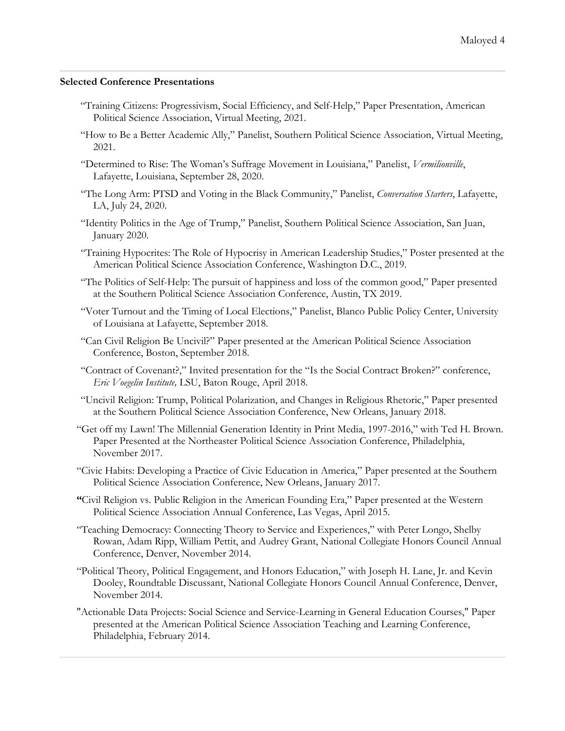# **Selected Conference Presentations**

- "Training Citizens: Progressivism, Social Efficiency, and Self-Help," Paper Presentation, American Political Science Association, Virtual Meeting, 2021.
- "How to Be a Better Academic Ally," Panelist, Southern Political Science Association, Virtual Meeting, 2021.
- "Determined to Rise: The Woman's Suffrage Movement in Louisiana," Panelist, *Vermilionville*, Lafayette, Louisiana, September 28, 2020.
- "The Long Arm: PTSD and Voting in the Black Community," Panelist, *Conversation Starters*, Lafayette, LA, July 24, 2020.
- "Identity Politics in the Age of Trump," Panelist, Southern Political Science Association, San Juan, January 2020.
- "Training Hypocrites: The Role of Hypocrisy in American Leadership Studies," Poster presented at the American Political Science Association Conference, Washington D.C., 2019.
- "The Politics of Self-Help: The pursuit of happiness and loss of the common good," Paper presented at the Southern Political Science Association Conference, Austin, TX 2019.
- "Voter Turnout and the Timing of Local Elections," Panelist, Blanco Public Policy Center, University of Louisiana at Lafayette, September 2018.
- "Can Civil Religion Be Uncivil?" Paper presented at the American Political Science Association Conference, Boston, September 2018.
- "Contract of Covenant?," Invited presentation for the "Is the Social Contract Broken?" conference, *Eric Voegelin Institute,* LSU, Baton Rouge, April 2018.
- "Uncivil Religion: Trump, Political Polarization, and Changes in Religious Rhetoric," Paper presented at the Southern Political Science Association Conference, New Orleans, January 2018.
- "Get off my Lawn! The Millennial Generation Identity in Print Media, 1997-2016," with Ted H. Brown. Paper Presented at the Northeaster Political Science Association Conference, Philadelphia, November 2017.
- "Civic Habits: Developing a Practice of Civic Education in America," Paper presented at the Southern Political Science Association Conference, New Orleans, January 2017.
- **"**Civil Religion vs. Public Religion in the American Founding Era," Paper presented at the Western Political Science Association Annual Conference, Las Vegas, April 2015.
- "Teaching Democracy: Connecting Theory to Service and Experiences," with Peter Longo, Shelby Rowan, Adam Ripp, William Pettit, and Audrey Grant, National Collegiate Honors Council Annual Conference, Denver, November 2014.
- "Political Theory, Political Engagement, and Honors Education," with Joseph H. Lane, Jr. and Kevin Dooley, Roundtable Discussant, National Collegiate Honors Council Annual Conference, Denver, November 2014.
- "Actionable Data Projects: Social Science and Service-Learning in General Education Courses," Paper presented at the American Political Science Association Teaching and Learning Conference, Philadelphia, February 2014.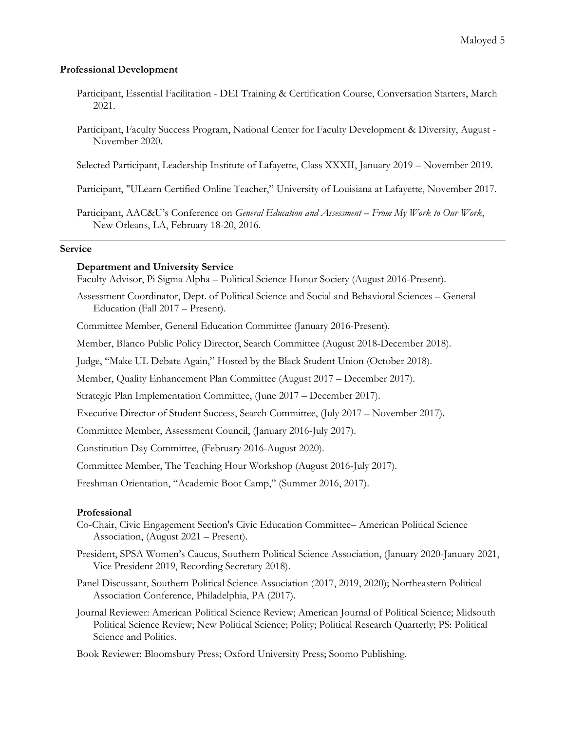# **Professional Development**

- Participant, Essential Facilitation DEI Training & Certification Course, Conversation Starters, March 2021.
- Participant, Faculty Success Program, National Center for Faculty Development & Diversity, August November 2020.

Selected Participant, Leadership Institute of Lafayette, Class XXXII, January 2019 – November 2019.

Participant, "ULearn Certified Online Teacher," University of Louisiana at Lafayette, November 2017.

Participant, AAC&U's Conference on *General Education and Assessment – From My Work to Our Work*, New Orleans, LA, February 18-20, 2016.

# **Service**

# **Department and University Service**

Faculty Advisor, Pi Sigma Alpha – Political Science Honor Society (August 2016-Present).

Assessment Coordinator, Dept. of Political Science and Social and Behavioral Sciences – General Education (Fall 2017 – Present).

Committee Member, General Education Committee (January 2016-Present).

Member, Blanco Public Policy Director, Search Committee (August 2018-December 2018).

Judge, "Make UL Debate Again," Hosted by the Black Student Union (October 2018).

Member, Quality Enhancement Plan Committee (August 2017 – December 2017).

Strategic Plan Implementation Committee, (June 2017 – December 2017).

Executive Director of Student Success, Search Committee, (July 2017 – November 2017).

Committee Member, Assessment Council, (January 2016-July 2017).

Constitution Day Committee, (February 2016-August 2020).

Committee Member, The Teaching Hour Workshop (August 2016-July 2017).

Freshman Orientation, "Academic Boot Camp," (Summer 2016, 2017).

# **Professional**

- Co-Chair, Civic Engagement Section's Civic Education Committee– American Political Science Association, (August 2021 – Present).
- President, SPSA Women's Caucus, Southern Political Science Association, (January 2020-January 2021, Vice President 2019, Recording Secretary 2018).
- Panel Discussant, Southern Political Science Association (2017, 2019, 2020); Northeastern Political Association Conference, Philadelphia, PA (2017).
- Journal Reviewer: American Political Science Review; American Journal of Political Science; Midsouth Political Science Review; New Political Science; Polity; Political Research Quarterly; PS: Political Science and Politics.

Book Reviewer: Bloomsbury Press; Oxford University Press; Soomo Publishing.